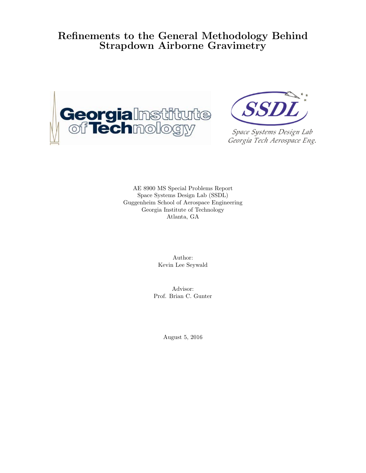# Refinements to the General Methodology Behind Strapdown Airborne Gravimetry





Space Systems Design Lab Georgia Tech Aerospace Eng.

AE 8900 MS Special Problems Report Space Systems Design Lab (SSDL) Guggenheim School of Aerospace Engineering Georgia Institute of Technology Atlanta, GA

> Author: Kevin Lee Seywald

Advisor: Prof. Brian C. Gunter

August 5, 2016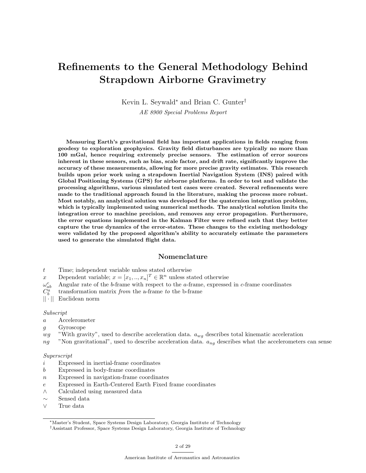# Refinements to the General Methodology Behind Strapdown Airborne Gravimetry

Kevin L. Seywald<sup>∗</sup> and Brian C. Gunter†

AE 8900 Special Problems Report

Measuring Earth's gravitational field has important applications in fields ranging from geodesy to exploration geophysics. Gravity field disturbances are typically no more than 100 mGal, hence requiring extremely precise sensors. The estimation of error sources inherent in these sensors, such as bias, scale factor, and drift rate, significantly improve the accuracy of these measurements, allowing for more precise gravity estimates. This research builds upon prior work using a strapdown Inertial Navigation System (INS) paired with Global Positioning Systems (GPS) for airborne platforms. In order to test and validate the processing algorithms, various simulated test cases were created. Several refinements were made to the traditional approach found in the literature, making the process more robust. Most notably, an analytical solution was developed for the quaternion integration problem, which is typically implemented using numerical methods. The analytical solution limits the integration error to machine precision, and removes any error propagation. Furthermore, the error equations implemented in the Kalman Filter were refined such that they better capture the true dynamics of the error-states. These changes to the existing methodology were validated by the proposed algorithm's ability to accurately estimate the parameters used to generate the simulated flight data.

## Nomenclature

- t Time; independent variable unless stated otherwise
- x Dependent variable;  $x = [x_1, ..., x_n]^T \in \mathbb{R}^n$  unless stated otherwise
- $\omega_a^c$ Angular rate of the  $b$ -frame with respect to the  $a$ -frame, expressed in  $c$ -frame coordinates
- $C_b^a$ transformation matrix from the a-frame to the b-frame
- || · || Euclidean norm

#### Subscript

- a Accelerometer
- g Gyroscope
- $wg$  "With gravity", used to describe acceleration data.  $a_{wg}$  describes total kinematic acceleration
- $ng$  "Non gravitational", used to describe acceleration data.  $a_{nq}$  describes what the accelerometers can sense

#### Superscript

- $i$  Expressed in inertial-frame coordinates
- b Expressed in body-frame coordinates
- $n$  Expressed in navigation-frame coordinates
- e Expressed in Earth-Centered Earth Fixed frame coordinates
- ∧ Calculated using measured data
- ∼ Sensed data
- ∨ True data

<sup>∗</sup>Master's Student, Space Systems Design Laboratory, Georgia Institute of Technology

<sup>†</sup>Assistant Professor, Space Systems Design Laboratory, Georgia Institute of Technology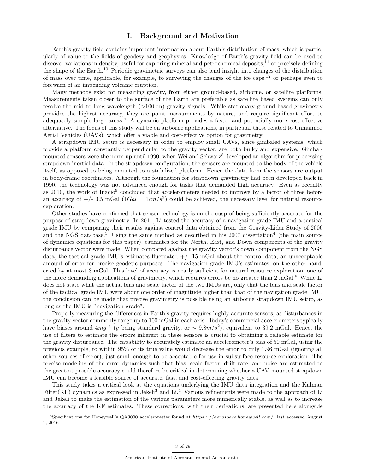## I. Background and Motivation

Earth's gravity field contains important information about Earth's distribution of mass, which is particularly of value to the fields of geodesy and geophysics. Knowledge of Earth's gravity field can be used to discover variations in density, useful for exploring mineral and petrochemical deposits,<sup>11</sup> or precisely defining the shape of the Earth.<sup>10</sup> Periodic gravimetric surveys can also lend insight into changes of the distribution of mass over time, applicable, for example, to surveying the changes of the ice caps, $12$  or perhaps even to forewarn of an impending volcanic eruption.

Many methods exist for measuring gravity, from either ground-based, airborne, or satellite platforms. Measurements taken closer to the surface of the Earth are preferable as satellite based systems can only resolve the mid to long wavelength (>100km) gravity signals. While stationary ground-based gravimetry provides the highest accuracy, they are point measurements by nature, and require significant effort to adequately sample large areas.<sup>4</sup> A dynamic platform provides a faster and potentially more cost-effective alternative. The focus of this study will be on airborne applications, in particular those related to Unmanned Aerial Vehicles (UAVs), which offer a viable and cost-effective option for gravimetry.

A strapdown IMU setup is necessary in order to employ small UAVs, since gimbaled systems, which provide a platform constantly perpendicular to the gravity vector, are both bulky and expensive. Gimbalmounted sensors were the norm up until 1990, when Wei and Schwarz<sup>8</sup> developed an algorithm for processing strapdown inertial data. In the strapdown configuration, the sensors are mounted to the body of the vehicle itself, as opposed to being mounted to a stabilized platform. Hence the data from the sensors are output in body-frame coordinates. Although the foundation for strapdown gravimetry had been developed back in 1990, the technology was not advanced enough for tasks that demanded high accuracy. Even as recently as 2010, the work of Inacio<sup>9</sup> concluded that accelerometers needed to improve by a factor of three before an accuracy of  $+/- 0.5$  mGal  $(1Gal = 1cm/s<sup>2</sup>)$  could be achieved, the necessary level for natural resource exploration.

Other studies have confirmed that sensor technology is on the cusp of being sufficiently accurate for the purpose of strapdown gravimetry. In 2011, Li tested the accuracy of a navigation-grade IMU and a tactical grade IMU by comparing their results against control data obtained from the Gravity-Lidar Study of 2006 and the NGS database.<sup>5</sup> Using the same method as described in his 2007 dissertation<sup>4</sup> (the main source of dynamics equations for this paper), estimates for the North, East, and Down components of the gravity disturbance vector were made. When compared against the gravity vector's down component from the NGS data, the tactical grade IMU's estimates fluctuated  $+/-15$  mGal about the control data, an unacceptable amount of error for precise geodetic purposes. The navigation grade IMU's estimates, on the other hand, erred by at most 3 mGal. This level of accuracy is nearly sufficient for natural resource exploration, one of the more demanding applications of gravimetry, which requires errors be no greater than 2 mGal.<sup>9</sup> While Li does not state what the actual bias and scale factor of the two IMUs are, only that the bias and scale factor of the tactical grade IMU were about one order of magnitude higher than that of the navigation grade IMU, the conclusion can be made that precise gravimetry is possible using an airborne strapdown IMU setup, as long as the IMU is "navigation-grade".

Properly measuring the differences in Earth's gravity requires highly accurate sensors, as disturbances in the gravity vector commonly range up to 100 mGal in each axis. Today's commercial accelerometers typically have biases around 4mg <sup>a</sup> (g being standard gravity, or  $\sim 9.8 \frac{m}{s^2}$ ), equivalent to 39.2 mGal. Hence, the use of filters to estimate the errors inherent in these sensors is crucial to obtaining a reliable estimate for the gravity disturbance. The capability to accurately estimate an accelerometer's bias of 50 mGal, using the previous example, to within 95% of its true value would decrease the error to only 1.96 mGal (ignoring all other sources of error), just small enough to be acceptable for use in subsurface resource exploration. The precise modeling of the error dynamics such that bias, scale factor, drift rate, and noise are estimated to the greatest possible accuracy could therefore be critical in determining whether a UAV-mounted strapdown IMU can become a feasible source of accurate, fast, and cost-effecting gravity data.

This study takes a critical look at the equations underlying the IMU data integration and the Kalman Filter(KF) dynamics as expressed in Jekeli<sup>3</sup> and Li.<sup>4</sup> Various refinements were made to the approach of Li and Jekeli to make the estimation of the various parameters more numerically stable, as well as to increase the accuracy of the KF estimates. These corrections, with their derivations, are presented here alongside

<sup>&</sup>lt;sup>a</sup>Specifications for Honeywell's QA3000 accelerometer found at https : //aerospace.honeywell.com/, last accessed August 1, 2016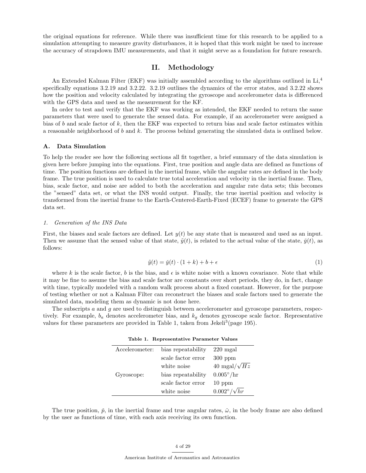the original equations for reference. While there was insufficient time for this research to be applied to a simulation attempting to measure gravity disturbances, it is hoped that this work might be used to increase the accuracy of strapdown IMU measurements, and that it might serve as a foundation for future research.

## II. Methodology

An Extended Kalman Filter (EKF) was initially assembled according to the algorithms outlined in Li,<sup>4</sup> specifically equations 3.2.19 and 3.2.22. 3.2.19 outlines the dynamics of the error states, and 3.2.22 shows how the position and velocity calculated by integrating the gyroscope and accelerometer data is differenced with the GPS data and used as the measurement for the KF.

In order to test and verify that the EKF was working as intended, the EKF needed to return the same parameters that were used to generate the sensed data. For example, if an accelerometer were assigned a bias of b and scale factor of k, then the EKF was expected to return bias and scale factor estimates within a reasonable neighborhood of  $b$  and  $k$ . The process behind generating the simulated data is outlined below.

#### A. Data Simulation

To help the reader see how the following sections all fit together, a brief summary of the data simulation is given here before jumping into the equations. First, true position and angle data are defined as functions of time. The position functions are defined in the inertial frame, while the angular rates are defined in the body frame. The true position is used to calculate true total acceleration and velocity in the inertial frame. Then, bias, scale factor, and noise are added to both the acceleration and angular rate data sets; this becomes the "sensed" data set, or what the INS would output. Finally, the true inertial position and velocity is transformed from the inertial frame to the Earth-Centered-Earth-Fixed (ECEF) frame to generate the GPS data set.

## 1. Generation of the INS Data

First, the biases and scale factors are defined. Let  $y(t)$  be any state that is measured and used as an input. Then we assume that the sensed value of that state,  $\tilde{y}(t)$ , is related to the actual value of the state,  $\tilde{y}(t)$ , as follows:

$$
\tilde{y}(t) = \tilde{y}(t) \cdot (1+k) + b + \epsilon \tag{1}
$$

where k is the scale factor, b is the bias, and  $\epsilon$  is white noise with a known covariance. Note that while it may be fine to assume the bias and scale factor are constants over short periods, they do, in fact, change with time, typically modeled with a random walk process about a fixed constant. However, for the purpose of testing whether or not a Kalman Filter can reconstruct the biases and scale factors used to generate the simulated data, modeling them as dynamic is not done here.

The subscripts a and g are used to distinguish between accelerometer and gyroscope parameters, respectively. For example,  $b_a$  denotes accelerometer bias, and  $k_q$  denotes gyroscope scale factor. Representative values for these parameters are provided in Table 1, taken from Jekeli<sup>3</sup> (page 195).

|  | Table 1. Representative Parameter Values |  |  |
|--|------------------------------------------|--|--|
|--|------------------------------------------|--|--|

| Accelerometer: | bias repeatability | $220 \text{ mgal}$          |
|----------------|--------------------|-----------------------------|
|                | scale factor error | $300$ ppm                   |
|                | white noise        | 40 mgal/ $\sqrt{Hz}$        |
| Gyroscope:     | bias repeatability | $0.005^{\circ}/\mathrm{hr}$ |
|                | scale factor error | $10~\mathrm{ppm}$           |
|                | white noise        | $0.002^{\circ}/\sqrt{hr}$   |

The true position,  $\check{p}$ , in the inertial frame and true angular rates,  $\check{\omega}$ , in the body frame are also defined by the user as functions of time, with each axis receiving its own function.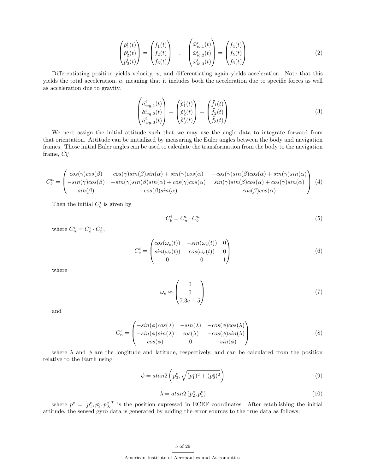$$
\begin{pmatrix} \check{p}_1^i(t) \\ \check{p}_2^i(t) \\ \check{p}_3^i(t) \end{pmatrix} = \begin{pmatrix} f_1(t) \\ f_2(t) \\ f_3(t) \end{pmatrix} , \quad \begin{pmatrix} \check{\omega}_{ib,1}^i(t) \\ \check{\omega}_{ib,2}^i(t) \\ \check{\omega}_{ib,3}^i(t) \end{pmatrix} = \begin{pmatrix} f_4(t) \\ f_5(t) \\ f_6(t) \end{pmatrix}
$$
 (2)

Differentiating position yields velocity, v, and differentiating again yields acceleration. Note that this yields the total acceleration, a, meaning that it includes both the acceleration due to specific forces as well as acceleration due to gravity.

$$
\begin{pmatrix}\n\ddot{a}_{wg,1}^i(t) \\
\ddot{a}_{wg,2}^i(t) \\
\ddot{a}_{wg,3}^i(t)\n\end{pmatrix} = \begin{pmatrix}\n\ddot{p}_1^i(t) \\
\ddot{p}_2^i(t) \\
\ddot{p}_3^i(t)\n\end{pmatrix} = \begin{pmatrix}\n\ddot{f}_1(t) \\
\ddot{f}_2(t) \\
\ddot{f}_3(t)\n\end{pmatrix}
$$
\n(3)

We next assign the initial attitude such that we may use the angle data to integrate forward from that orientation. Attitude can be initialized by measuring the Euler angles between the body and navigation frames. Those initial Euler angles can be used to calculate the transformation from the body to the navigation frame,  $C_b^n$ 

$$
C_b^n = \begin{pmatrix} \cos(\gamma)\cos(\beta) & \cos(\gamma)\sin(\beta)\sin(\alpha) + \sin(\gamma)\cos(\alpha) & -\cos(\gamma)\sin(\beta)\cos(\alpha) + \sin(\gamma)\sin(\alpha) \\ -\sin(\gamma)\cos(\beta) & -\sin(\gamma)\sin(\beta)\sin(\alpha) + \cos(\gamma)\cos(\alpha) & \sin(\gamma)\sin(\beta)\cos(\alpha) + \cos(\gamma)\sin(\alpha) \\ \sin(\beta) & -\cos(\beta)\sin(\alpha) & \cos(\beta)\cos(\alpha) \end{pmatrix} (4)
$$

Then the initial  $C_b^i$  is given by

$$
C_b^i = C_n^i \cdot C_b^n \tag{5}
$$

where  $C_n^i = C_e^i \cdot C_n^e$ ,

$$
C_e^i = \begin{pmatrix} \cos(\omega_e(t)) & -\sin(\omega_e(t)) & 0\\ \sin(\omega_e(t)) & \cos(\omega_e(t)) & 0\\ 0 & 0 & 1 \end{pmatrix}
$$
 (6)

where

$$
\omega_e \approx \begin{pmatrix} 0 \\ 0 \\ 7.3e - 5 \end{pmatrix} \tag{7}
$$

and

$$
C_n^e = \begin{pmatrix} -\sin(\phi)\cos(\lambda) & -\sin(\lambda) & -\cos(\phi)\cos(\lambda) \\ -\sin(\phi)\sin(\lambda) & \cos(\lambda) & -\cos(\phi)\sin(\lambda) \\ \cos(\phi) & 0 & -\sin(\phi) \end{pmatrix}
$$
(8)

where  $\lambda$  and  $\phi$  are the longitude and latitude, respectively, and can be calculated from the position relative to the Earth using

$$
\phi = \operatorname{atan2}\left(p_3^e, \sqrt{(p_1^e)^2 + (p_2^e)^2}\right) \tag{9}
$$

$$
\lambda = \operatorname{atan2}\left(p_2^e, p_1^e\right) \tag{10}
$$

where  $p^e = [p_1^e, p_2^e, p_3^e]^T$  is the position expressed in ECEF coordinates. After establishing the initial attitude, the sensed gyro data is generated by adding the error sources to the true data as follows: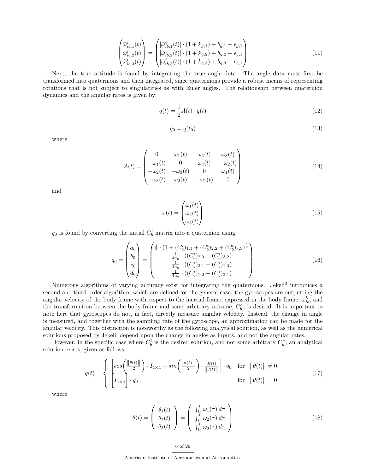$$
\begin{pmatrix}\n\tilde{\omega}_{ib,1}^{i}(t) \\
\tilde{\omega}_{ib,2}^{i}(t) \\
\tilde{\omega}_{ib,3}^{i}(t)\n\end{pmatrix} = \begin{pmatrix}\n[\tilde{\omega}_{ib,1}^{i}(t)] \cdot (1 + k_{g,1}) + b_{g,1} + \epsilon_{g,1} \\
[\tilde{\omega}_{ib,2}^{i}(t)] \cdot (1 + k_{g,2}) + b_{g,2} + \epsilon_{g,1} \\
[\tilde{\omega}_{ib,3}^{i}(t)] \cdot (1 + k_{g,3}) + b_{g,3} + \epsilon_{g,1}\n\end{pmatrix}
$$
\n(11)

Next, the true attitude is found by integrating the true angle data. The angle data must first be transformed into quaternions and then integrated, since quaternions provide a robust means of representing rotations that is not subject to singularities as with Euler angles. The relationship between quaternion dynamics and the angular rates is given by:

$$
\dot{q}(t) = \frac{1}{2}A(t) \cdot q(t) \tag{12}
$$

$$
q_0 = q(t_0) \tag{13}
$$

where

$$
A(t) = \begin{pmatrix} 0 & \omega_1(t) & \omega_2(t) & \omega_3(t) \\ -\omega_1(t) & 0 & \omega_3(t) & -\omega_2(t) \\ -\omega_2(t) & -\omega_3(t) & 0 & \omega_1(t) \\ -\omega_3(t) & \omega_2(t) & -\omega_1(t) & 0 \end{pmatrix}
$$
(14)

and

$$
\omega(t) = \begin{pmatrix} \omega_1(t) \\ \omega_2(t) \\ \omega_3(t) \end{pmatrix} \tag{15}
$$

 $q_0$  is found by converting the initial  $C_b^i$  matrix into a quaternion using

$$
q_0 = \begin{pmatrix} a_0 \\ b_0 \\ c_0 \\ d_0 \end{pmatrix} = \begin{pmatrix} \frac{1}{2} \cdot (1 + (C_b^i)_{1,1} + (C_b^i)_{2,2} + (C_b^i)_{3,3})^{\frac{1}{2}} \\ \frac{1}{4a_0} \cdot ((C_b^i)_{2,3} - (C_b^i)_{3,2}) \\ \frac{1}{4a_0} \cdot ((C_b^i)_{3,1} - (C_b^i)_{1,3}) \\ \frac{1}{4a_0} \cdot ((C_b^i)_{1,2} - (C_b^i)_{2,1}) \end{pmatrix}
$$
(16)

Numerous algorithms of varying accuracy exist for integrating the quaternions. Jekeli<sup>3</sup> introduces a second and third order algorithm, which are defined for the general case: the gyroscopes are outputting the angular velocity of the body frame with respect to the inertial frame, expressed in the body frame,  $\omega_{ib}^b$ , and the transformation between the body-frame and some arbitrary a-frame,  $C_b^a$ , is desired. It is important to note here that gyroscopes do not, in fact, directly measure angular velocity. Instead, the change in angle is measured, and together with the sampling rate of the gyroscope, an approximation can be made for the angular velocity. This distinction is noteworthy as the following analytical solution, as well as the numerical solutions proposed by Jekeli, depend upon the change in angles as inputs, and not the angular rates.

However, in the specific case where  $C_b^i$  is the desired solution, and not some arbitrary  $C_b^a$ , an analytical solution exists, given as follows:

$$
q(t) = \begin{cases} \left[ \cos\left(\frac{\|\theta(t)\|}{2}\right) \cdot I_{4\times 4} + \sin\left(\frac{\|\theta(t)\|}{2}\right) \cdot \frac{B(t)}{\|\theta(t)\|} \right] \cdot q_0 & \text{for } \|\theta(t)\| \neq 0\\ I_{4\times 4} \cdot q_0 & \text{for } \|\theta(t)\| = 0 \end{cases}
$$
(17)

where

$$
\theta(t) = \begin{pmatrix} \theta_1(t) \\ \theta_2(t) \\ \theta_3(t) \end{pmatrix} = \begin{pmatrix} \int_{t_0}^t \omega_1(\tau) d\tau \\ \int_{t_0}^t \omega_2(\tau) d\tau \\ \int_{t_0}^t \omega_3(\tau) d\tau \end{pmatrix}
$$
(18)

6 of 29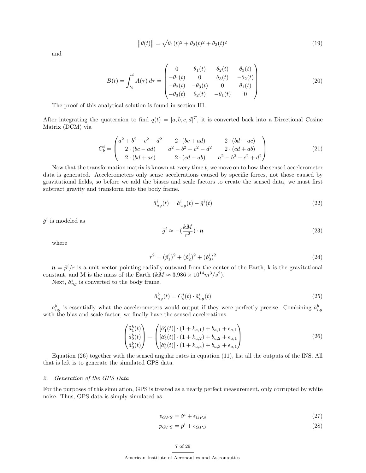$$
\|\theta(t)\| = \sqrt{\theta_1(t)^2 + \theta_2(t)^2 + \theta_3(t)^2} \tag{19}
$$

and

$$
B(t) = \int_{t_0}^t A(\tau) d\tau = \begin{pmatrix} 0 & \theta_1(t) & \theta_2(t) & \theta_3(t) \\ -\theta_1(t) & 0 & \theta_3(t) & -\theta_2(t) \\ -\theta_2(t) & -\theta_3(t) & 0 & \theta_1(t) \\ -\theta_3(t) & \theta_2(t) & -\theta_1(t) & 0 \end{pmatrix}
$$
(20)

The proof of this analytical solution is found in section III.

After integrating the quaternion to find  $q(t) = [a, b, c, d]^T$ , it is converted back into a Directional Cosine Matrix (DCM) via

$$
C_b^i = \begin{pmatrix} a^2 + b^2 - c^2 - d^2 & 2 \cdot (bc + ad) & 2 \cdot (bd - ac) \\ 2 \cdot (bc - ad) & a^2 - b^2 + c^2 - d^2 & 2 \cdot (cd + ab) \\ 2 \cdot (bd + ac) & 2 \cdot (cd - ab) & a^2 - b^2 - c^2 + d^2 \end{pmatrix}
$$
(21)

Now that the transformation matrix is known at every time  $t$ , we move on to how the sensed accelerometer data is generated. Accelerometers only sense accelerations caused by specific forces, not those caused by gravitational fields, so before we add the biases and scale factors to create the sensed data, we must first subtract gravity and transform into the body frame.

$$
\check{a}_{ng}^i(t) = \check{a}_{wg}^i(t) - \check{g}^i(t) \tag{22}
$$

 $\check{g}^i$  is modeled as

$$
\check{g}^i \approx -\left(\frac{kM}{r^2}\right) \cdot \mathbf{n} \tag{23}
$$

where

$$
r^2 = (\check{p}_1^i)^2 + (\check{p}_2^i)^2 + (\check{p}_3^i)^2 \tag{24}
$$

 $\mathbf{n} = \check{p}^i/r$  is a unit vector pointing radially outward from the center of the Earth, k is the gravitational constant, and M is the mass of the Earth  $(kM \approx 3.986 \times 10^{14} m^3/s^2)$ .

Next,  $\check{a}_{ng}^i$  is converted to the body frame.

$$
\check{a}_{ng}^b(t) = C_b^i(t) \cdot \check{a}_{ng}^i(t) \tag{25}
$$

 $\check{a}_{ng}^b$  is essentially what the accelerometers would output if they were perfectly precise. Combining  $\check{a}_{ng}^b$ with the bias and scale factor, we finally have the sensed accelerations.

$$
\begin{pmatrix}\n\tilde{a}_1^b(t) \\
\tilde{a}_2^b(t)\n\end{pmatrix} = \begin{pmatrix}\n[\tilde{a}_1^b(t)] \cdot (1 + k_{a,1}) + b_{a,1} + \epsilon_{a,1} \\
[\tilde{a}_2^b(t)] \cdot (1 + k_{a,2}) + b_{a,2} + \epsilon_{a,1} \\
[\tilde{a}_3^b(t)] \cdot (1 + k_{a,3}) + b_{a,3} + \epsilon_{a,1}\n\end{pmatrix}
$$
\n(26)

Equation (26) together with the sensed angular rates in equation (11), list all the outputs of the INS. All that is left is to generate the simulated GPS data.

#### 2. Generation of the GPS Data

For the purposes of this simulation, GPS is treated as a nearly perfect measurement, only corrupted by white noise. Thus, GPS data is simply simulated as

$$
v_{GPS} = \dot{v}^i + \epsilon_{GPS} \tag{27}
$$

$$
p_{GPS} = \check{p}^i + \epsilon_{GPS} \tag{28}
$$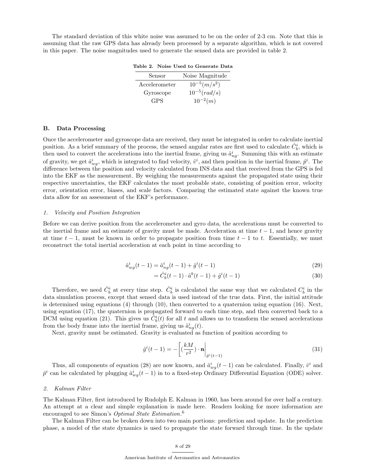The standard deviation of this white noise was assumed to be on the order of 2-3 cm. Note that this is assuming that the raw GPS data has already been processed by a separate algorithm, which is not covered in this paper. The noise magnitudes used to generate the sensed data are provided in table 2.

Table 2. Noise Used to Generate Data

| Sensor        | Noise Magnitude   |
|---------------|-------------------|
| Accelerometer | $10^{-5} (m/s^2)$ |
| Gyroscope     | $10^{-5} (rad/s)$ |
| GPS.          | $10^{-2}(m)$      |

#### B. Data Processing

Once the accelerometer and gyroscope data are received, they must be integrated in order to calculate inertial position. As a brief summary of the process, the sensed angular rates are first used to calculate  $\hat{C}_b^i$ , which is then used to convert the accelerations into the inertial frame, giving us  $\hat{a}_{ng}^i$ . Summing this with an estimate of gravity, we get  $\hat{a}^i_{wg}$ , which is integrated to find velocity,  $\hat{v}^i$ , and then position in the inertial frame,  $\hat{p}^i$ . The difference between the position and velocity calculated from INS data and that received from the GPS is fed into the EKF as the measurement. By weighing the measurements against the propagated state using their respective uncertainties, the EKF calculates the most probable state, consisting of position error, velocity error, orientation error, biases, and scale factors. Comparing the estimated state against the known true data allow for an assessment of the EKF's performance.

## 1. Velocity and Position Integration

Before we can derive position from the accelerometer and gyro data, the accelerations must be converted to the inertial frame and an estimate of gravity must be made. Acceleration at time  $t - 1$ , and hence gravity at time  $t - 1$ , must be known in order to propagate position from time  $t - 1$  to t. Essentially, we must reconstruct the total inertial acceleration at each point in time according to

$$
\hat{a}_{wg}^{i}(t-1) = \hat{a}_{ng}^{i}(t-1) + \hat{g}^{i}(t-1)
$$
\n(29)

$$
= \hat{C}_b^i(t-1) \cdot \tilde{a}^b(t-1) + \hat{g}^i(t-1)
$$
\n(30)

Therefore, we need  $\hat{C}_b^i$  at every time step.  $\hat{C}_b^i$  is calculated the same way that we calculated  $C_b^i$  in the data simulation process, except that sensed data is used instead of the true data. First, the initial attitude is determined using equations (4) through (10), then converted to a quaternion using equation (16). Next, using equation (17), the quaternion is propagated forward to each time step, and then converted back to a DCM using equation (21). This gives us  $\tilde{C}_b^i(t)$  for all t and allows us to transform the sensed accelerations from the body frame into the inertial frame, giving us  $\tilde{a}_{ng}^{i}(t)$ .

Next, gravity must be estimated. Gravity is evaluated as function of position according to

$$
\hat{g}^i(t-1) = -\left[ \left(\frac{kM}{r^2}\right) \cdot \mathbf{n} \right]_{\hat{p}^i(t-1)} \tag{31}
$$

Thus, all components of equation (28) are now known, and  $\hat{a}^i_{wg}(t-1)$  can be calculated. Finally,  $\hat{v}^i$  and  $\hat{p}^i$  can be calculated by plugging  $\hat{a}^i_{wg}(t-1)$  in to a fixed-step Ordinary Differential Equation (ODE) solver.

## 2. Kalman Filter

The Kalman Filter, first introduced by Rudolph E. Kalman in 1960, has been around for over half a century. An attempt at a clear and simple explanation is made here. Readers looking for more information are encouraged to see Simon's *Optimal State Estimation*.<sup>6</sup>

The Kalman Filter can be broken down into two main portions: prediction and update. In the prediction phase, a model of the state dynamics is used to propagate the state forward through time. In the update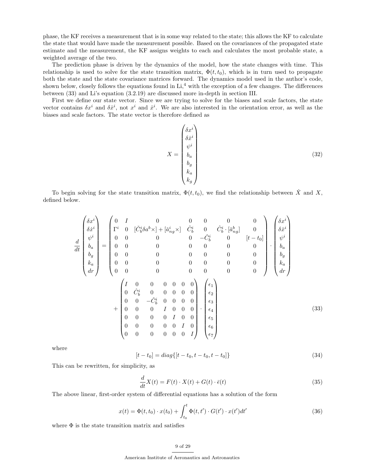phase, the KF receives a measurement that is in some way related to the state; this allows the KF to calculate the state that would have made the measurement possible. Based on the covariances of the propagated state estimate and the measurement, the KF assigns weights to each and calculates the most probable state, a weighted average of the two.

The prediction phase is driven by the dynamics of the model, how the state changes with time. This relationship is used to solve for the state transition matrix,  $\Phi(t, t_0)$ , which is in turn used to propagate both the state and the state covariance matrices forward. The dynamics model used in the author's code, shown below, closely follows the equations found in  $Li<sup>4</sup>$  with the exception of a few changes. The differences between (33) and Li's equation (3.2.19) are discussed more in-depth in section III.

First we define our state vector. Since we are trying to solve for the biases and scale factors, the state vector contains  $\delta x^i$  and  $\delta x^i$ , not  $x^i$  and  $\dot{x}^i$ . We are also interested in the orientation error, as well as the biases and scale factors. The state vector is therefore defined as

$$
X = \begin{pmatrix} \delta x^i \\ \delta \dot{x}^i \\ \psi^i \\ b_a \\ b_g \\ k_a \\ k_g \end{pmatrix}
$$
 (32)

To begin solving for the state transition matrix,  $\Phi(t, t_0)$ , we find the relationship between  $\dot{X}$  and X, defined below.

$$
\frac{d}{dt} \begin{pmatrix} \delta x^{i} \\ \delta \dot{x}^{i} \\ \psi^{i} \\ \delta a \\ h_{a} \\ h_{c} \\ d\bar{r} \end{pmatrix} = \begin{pmatrix} 0 & I & 0 & 0 & 0 & 0 & 0 & 0 \\ \Gamma^{i} & 0 & [\check{C}_{b}^{i}\delta a^{b} \times ] + [\check{a}_{ng}^{i} \times ] & \hat{C}_{b}^{i} & 0 & \hat{C}_{b}^{i} \cdot [\check{a}_{ng}^{b}] & 0 \\ 0 & 0 & 0 & 0 & -\check{C}_{b}^{i} & 0 & [t-t_{0}] & \check{b}_{a}^{i} \\ 0 & 0 & 0 & 0 & 0 & 0 & 0 & 0 \\ 0 & 0 & 0 & 0 & 0 & 0 & 0 & 0 \\ 0 & 0 & 0 & 0 & 0 & 0 & 0 & 0 \\ 0 & 0 & 0 & 0 & 0 & 0 & 0 & 0 \end{pmatrix} \cdot \begin{pmatrix} \delta x^{i} \\ \delta x^{i} \\ \delta a \\ h_{a} \\ h_{a} \\ h_{c} \\ d\bar{r} \end{pmatrix}
$$
\n
$$
+ \begin{pmatrix} I & 0 & 0 & 0 & 0 & 0 & 0 & 0 \\ 0 & \check{C}_{b}^{i} & 0 & 0 & 0 & 0 & 0 & 0 \\ 0 & 0 & -\check{C}_{b}^{i} & 0 & 0 & 0 & 0 & 0 \\ 0 & 0 & -\check{C}_{b}^{i} & 0 & 0 & 0 & 0 & 0 \\ 0 & 0 & 0 & 0 & 0 & 0 & 0 & 0 \\ 0 & 0 & 0 & 0 & 0 & 0 & 0 & 0 \end{pmatrix} \cdot \begin{pmatrix} \epsilon_{1} \\ \epsilon_{2} \\ \epsilon_{3} \\ \epsilon_{4} \\ \epsilon_{5} \\ \epsilon_{6} \\ \epsilon_{7} \end{pmatrix}
$$
\n
$$
(33)
$$

where

$$
[t - t_0] = diag\{[t - t_0, t - t_0, t - t_0]\}\tag{34}
$$

This can be rewritten, for simplicity, as

$$
\frac{d}{dt}X(t) = F(t) \cdot X(t) + G(t) \cdot \bar{\epsilon}(t)
$$
\n(35)

The above linear, first-order system of differential equations has a solution of the form

$$
x(t) = \Phi(t, t_0) \cdot x(t_0) + \int_{t_0}^t \Phi(t, t') \cdot G(t') \cdot x(t') dt'
$$
 (36)

where  $\Phi$  is the state transition matrix and satisfies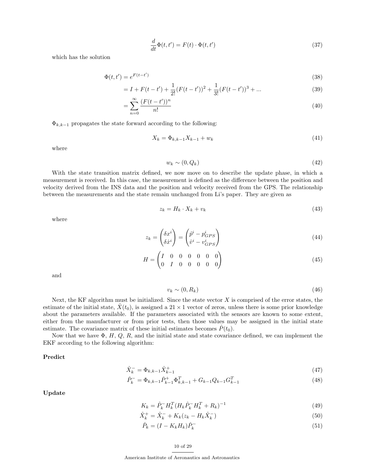$$
\frac{d}{dt}\Phi(t,t') = F(t)\cdot\Phi(t,t')
$$
\n(37)

which has the solution

$$
\Phi(t, t') = e^{F(t - t')} \tag{38}
$$

$$
= I + F(t - t') + \frac{1}{2!} (F(t - t'))^{2} + \frac{1}{3!} (F(t - t'))^{3} + \dots
$$
\n(39)

$$
=\sum_{n=0}^{\infty} \frac{(F(t-t'))^n}{n!} \tag{40}
$$

 $\Phi_{k,k-1}$  propagates the state forward according to the following:

$$
X_k = \Phi_{k,k-1} X_{k-1} + w_k \tag{41}
$$

where

$$
w_k \sim (0, Q_k) \tag{42}
$$

With the state transition matrix defined, we now move on to describe the update phase, in which a measurement is received. In this case, the measurement is defined as the difference between the position and velocity derived from the INS data and the position and velocity received from the GPS. The relationship between the measurements and the state remain unchanged from Li's paper. They are given as

$$
z_k = H_k \cdot X_k + v_k \tag{43}
$$

where

$$
z_k = \begin{pmatrix} \delta x^i \\ \delta \dot x^i \end{pmatrix} = \begin{pmatrix} \hat{p}^i - p_{GPS}^i \\ \hat{v}^i - v_{GPS}^i \end{pmatrix}
$$
 (44)

$$
H = \begin{pmatrix} I & 0 & 0 & 0 & 0 & 0 & 0 \\ 0 & I & 0 & 0 & 0 & 0 & 0 \end{pmatrix}
$$
 (45)

and

$$
v_k \sim (0, R_k) \tag{46}
$$

Next, the KF algorithm must be initialized. Since the state vector  $X$  is comprised of the error states, the estimate of the initial state,  $\dot{X}(t_0)$ , is assigned a 21 × 1 vector of zeros, unless there is some prior knowledge about the parameters available. If the parameters associated with the sensors are known to some extent, either from the manufacturer or from prior tests, then those values may be assigned in the initial state estimate. The covariance matrix of these initial estimates becomes  $\hat{P}(t_0)$ .

Now that we have  $\Phi$ , H, Q, R, and the initial state and state covariance defined, we can implement the EKF according to the following algorithm:

Predict

$$
\hat{X}_k^- = \Phi_{k,k-1} \hat{X}_{k-1}^+ \tag{47}
$$

$$
\hat{P}_k^- = \Phi_{k,k-1} \hat{P}_{k-1}^+ \Phi_{k,k-1}^T + G_{k-1} Q_{k-1} G_{k-1}^T \tag{48}
$$

Update

$$
K_k = \hat{P}_k^- H_k^T (H_k \hat{P}_k^- H_k^T + R_k)^{-1}
$$
\n(49)

$$
\hat{X}_k^+ = \hat{X}_k^- + K_k (z_k - H_k \hat{X}_k^-)
$$
\n(50)

$$
\hat{P}_k = (I - K_k H_k) \hat{P}_k^- \tag{51}
$$

## 10 of 29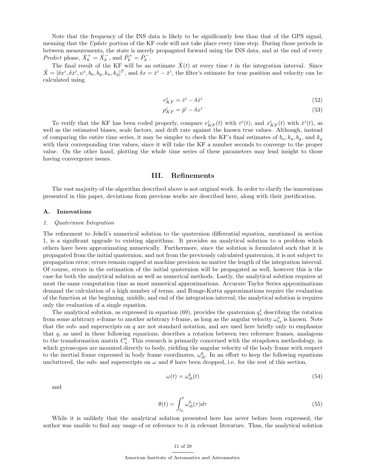Note that the frequency of the INS data is likely to be significantly less than that of the GPS signal, meaning that the Update portion of the KF code will not take place every time step. During those periods in between measurements, the state is merely propagated forward using the INS data, and at the end of every Predict phase,  $\hat{X}_k^+ = \hat{X}_k^-$ , and  $\hat{P}_k^+ = \hat{P}_k^-$ .

The final result of the KF will be an estimate  $\hat{X}(t)$  at every time t in the integration interval. Since  $\hat{X} = [\delta x^i, \delta x^i, \psi^i, b_a, b_g, k_a, k_g]^T$ , and  $\delta x = \hat{x}^i - \check{x}^i$ , the filter's estimate for true position and velocity can be calculated using

$$
v_{KF}^i = \hat{v}^i - \delta \dot{x}^i \tag{52}
$$

$$
p_{KF}^i = \hat{p}^i - \delta x^i \tag{53}
$$

To verify that the KF has been coded properly, compare  $v_{KF}^i(t)$  with  $\check{v}^i(t)$ , and  $x_{KF}^i(t)$  with  $\check{x}^i(t)$ , as well as the estimated biases, scale factors, and drift rate against the known true values. Although, instead of comparing the entire time series, it may be simpler to check the KF's final estimates of  $b_a, k_a, b_g$ , and  $k_g$ with their corresponding true values, since it will take the KF a number seconds to converge to the proper value. On the other hand, plotting the whole time series of these parameters may lend insight to those having convergence issues.

## III. Refinements

The vast majority of the algorithm described above is not original work. In order to clarify the innovations presented in this paper, deviations from previous works are described here, along with their justification.

#### A. Innovations

#### 1. Quaternion Integration

The refinement to Jekeli's numerical solution to the quaternion differential equation, mentioned in section 1, is a significant upgrade to existing algorithms. It provides an analytical solution to a problem which others have been approximating numerically. Furthermore, since the solution is formulated such that it is propagated from the initial quaternion, and not from the previously calculated quaternion, it is not subject to propagation error; errors remain capped at machine precision no matter the length of the integration interval. Of course, errors in the estimation of the initial quaternion will be propagated as well, however this is the case for both the analytical solution as well as numerical methods. Lastly, the analytical solution requires at most the same computation time as most numerical approximations. Accurate Taylor Series approximations demand the calculation of a high number of terms, and Runge-Kutta approximations require the evaluation of the function at the beginning, middle, and end of the integration interval; the analytical solution is requires only the evaluation of a single equation.

The analytical solution, as expressed in equation (69), provides the quaternion  $q_s^t$  describing the rotation from some arbitrary s-frame to another arbitrary t-frame, as long as the angular velocity  $\omega_{ts}^s$  is known. Note that the sub- and superscripts on  $q$  are not standard notation, and are used here briefly only to emphasize that q, as used in these following equations, describes a rotation between two reference frames, analagous to the transformation matrix  $C_s^t$ . This research is primarily concerned with the strapdown methodology, in which gyroscopes are mounted directly to body, yielding the angular velocity of the body frame with respect to the inertial frame expressed in body frame coordinates,  $\omega_{ib}^b$ . In an effort to keep the following equations uncluttered, the sub- and superscripts on  $\omega$  and  $\theta$  have been dropped, i.e. for the rest of this section,

$$
\omega(t) = \omega_{ib}^b(t) \tag{54}
$$

and

$$
\theta(t) = \int_{t_0}^t \omega_{ib}^b(\tau) d\tau \tag{55}
$$

While it is unlikely that the analytical solution presented here has never before been expressed, the author was unable to find any usage of or reference to it in relevant literature. Thus, the analytical solution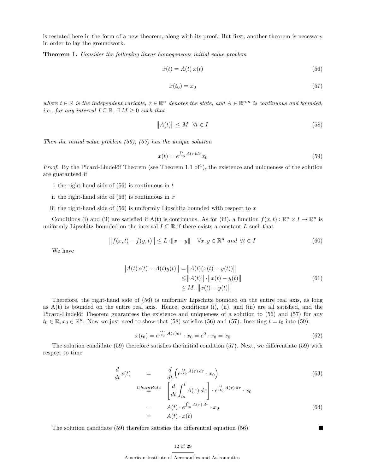is restated here in the form of a new theorem, along with its proof. But first, another theorem is necessary in order to lay the groundwork.

Theorem 1. Consider the following linear homogeneous initial value problem

$$
\dot{x}(t) = A(t) x(t) \tag{56}
$$

$$
x(t_0) = x_0 \tag{57}
$$

where  $t \in \mathbb{R}$  is the independent variable,  $x \in \mathbb{R}^n$  denotes the state, and  $A \in \mathbb{R}^{n,n}$  is continuous and bounded, *i.e., for any interval*  $I \subseteq \mathbb{R}, \exists M \geq 0$  such that

$$
||A(t)|| \le M \quad \forall t \in I \tag{58}
$$

Then the initial value problem  $(56)$ ,  $(57)$  has the unique solution

$$
x(t) = e^{\int_{t_0}^t A(\tau)d\tau} x_0
$$
\n(59)

*Proof.* By the Picard-Lindelöf Theorem (see Theorem 1.1 of<sup>1</sup>), the existence and uniqueness of the solution are guaranteed if

- i the right-hand side of  $(56)$  is continuous in t
- ii the right-hand side of  $(56)$  is continuous in x
- iii the right-hand side of  $(56)$  is uniformly Lipschitz bounded with respect to x

Conditions (i) and (ii) are satisfied if A(t) is continuous. As for (iii), a function  $f(x,t): \mathbb{R}^n \times I \to \mathbb{R}^n$  is uniformly Lipschitz bounded on the interval  $I \subseteq \mathbb{R}$  if there exists a constant L such that

$$
|| f(x,t) - f(y,t)|| \le L \cdot ||x - y|| \quad \forall x, y \in \mathbb{R}^n \text{ and } \forall t \in I
$$
 (60)

We have

$$
||A(t)x(t) - A(t)y(t)|| = ||A(t)(x(t) - y(t))||
$$
  
\n
$$
\le ||A(t)|| \cdot ||x(t) - y(t)||
$$
  
\n
$$
\le M \cdot ||x(t) - y(t)||
$$
\n(61)

Therefore, the right-hand side of (56) is uniformly Lipschitz bounded on the entire real axis, as long as  $A(t)$  is bounded on the entire real axis. Hence, conditions (i), (ii), and (iii) are all satisfied, and the Picard-Lindelöf Theorem guarantees the existence and uniqueness of a solution to (56) and (57) for any  $t_0 \in \mathbb{R}, x_0 \in \mathbb{R}^n$ . Now we just need to show that (58) satisfies (56) and (57). Inserting  $t = t_0$  into (59):

$$
x(t_0) = e^{\int_{t_0}^{t_0} A(\tau)d\tau} \cdot x_0 = e^0 \cdot x_0 = x_0 \tag{62}
$$

The solution candidate (59) therefore satisfies the initial condition (57). Next, we differentiate (59) with respect to time

$$
\frac{d}{dt}x(t) = \frac{d}{dt}\left(e^{\int_{t_0}^t A(\tau) d\tau} \cdot x_0\right)
$$
\n
$$
_{\text{ChainRule}} \left[\frac{d}{dt} \int_{t_0}^t A(\tau) d\tau\right] \cdot e^{\int_{t_0}^t A(\tau) d\tau} \cdot x_0
$$
\n
$$
= A(t) \cdot e^{\int_{t_0}^t A(\tau) d\tau} \cdot x_0
$$
\n
$$
= A(t) \cdot x(t)
$$
\n(64)

 $\blacksquare$ 

The solution candidate (59) therefore satisfies the differential equation (56)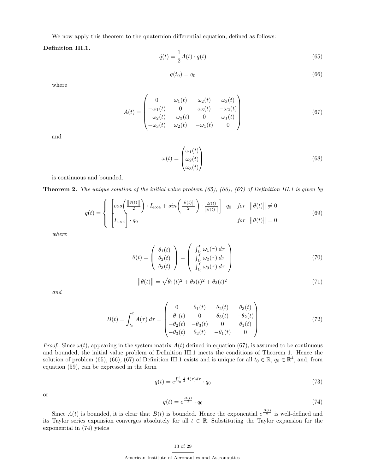We now apply this theorem to the quaternion differential equation, defined as follows:

## Definition III.1.

$$
\dot{q}(t) = \frac{1}{2}A(t) \cdot q(t) \tag{65}
$$

$$
q(t_0) = q_0 \tag{66}
$$

where

$$
A(t) = \begin{pmatrix} 0 & \omega_1(t) & \omega_2(t) & \omega_3(t) \\ -\omega_1(t) & 0 & \omega_3(t) & -\omega_2(t) \\ -\omega_2(t) & -\omega_3(t) & 0 & \omega_1(t) \\ -\omega_3(t) & \omega_2(t) & -\omega_1(t) & 0 \end{pmatrix}
$$
(67)

and

$$
\omega(t) = \begin{pmatrix} \omega_1(t) \\ \omega_2(t) \\ \omega_3(t) \end{pmatrix} \tag{68}
$$

is continuous and bounded.

**Theorem 2.** The unique solution of the initial value problem  $(65)$ ,  $(66)$ ,  $(67)$  of Definition III.1 is given by

$$
q(t) = \begin{cases} \left[ cos \left( \frac{\|\theta(t)\|}{2} \right) \cdot I_{4 \times 4} + sin \left( \frac{\|\theta(t)\|}{2} \right) \cdot \frac{B(t)}{\|\theta(t)\|} \right] \cdot q_0 & \text{for } \|\theta(t)\| \neq 0\\ I_{4 \times 4} & q_0 & \text{for } \|\theta(t)\| = 0 \end{cases}
$$
(69)

where

$$
\theta(t) = \begin{pmatrix} \theta_1(t) \\ \theta_2(t) \\ \theta_3(t) \end{pmatrix} = \begin{pmatrix} \int_{t_0}^t \omega_1(\tau) d\tau \\ \int_{t_0}^t \omega_2(\tau) d\tau \\ \int_{t_0}^t \omega_3(\tau) d\tau \end{pmatrix}
$$
(70)

$$
\|\theta(t)\| = \sqrt{\theta_1(t)^2 + \theta_2(t)^2 + \theta_3(t)^2} \tag{71}
$$

and

$$
B(t) = \int_{t_0}^t A(\tau) d\tau = \begin{pmatrix} 0 & \theta_1(t) & \theta_2(t) & \theta_3(t) \\ -\theta_1(t) & 0 & \theta_3(t) & -\theta_2(t) \\ -\theta_2(t) & -\theta_3(t) & 0 & \theta_1(t) \\ -\theta_3(t) & \theta_2(t) & -\theta_1(t) & 0 \end{pmatrix}
$$
(72)

*Proof.* Since  $\omega(t)$ , appearing in the system matrix  $A(t)$  defined in equation (67), is assumed to be continuous and bounded, the initial value problem of Definition III.1 meets the conditions of Theorem 1. Hence the solution of problem (65), (66), (67) of Definition III.1 exists and is unique for all  $t_0 \in \mathbb{R}$ ,  $q_0 \in \mathbb{R}^4$ , and, from equation (59), can be expressed in the form

$$
q(t) = e^{\int_{t_0}^t \frac{1}{2}A(\tau)d\tau} \cdot q_0 \tag{73}
$$

or

$$
q(t) = e^{\frac{B(t)}{2}} \cdot q_0 \tag{74}
$$

Since  $A(t)$  is bounded, it is clear that  $B(t)$  is bounded. Hence the exponential  $e^{\frac{B(t)}{2}}$  is well-defined and its Taylor series expansion converges absolutely for all  $t \in \mathbb{R}$ . Substituting the Taylor expansion for the exponential in (74) yields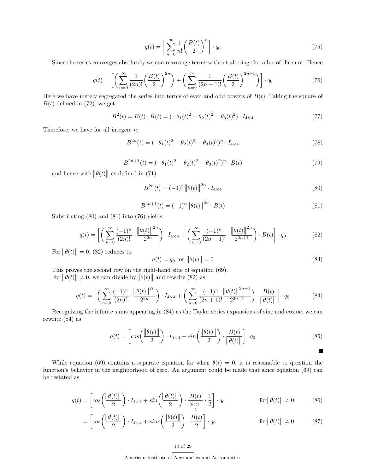$$
q(t) = \left[\sum_{n=0}^{\infty} \frac{1}{n!} \left(\frac{B(t)}{2}\right)^n\right] \cdot q_0 \tag{75}
$$

Since the series converges absolutely we can rearrange terms without altering the value of the sum. Hence

$$
q(t) = \left[ \left( \sum_{n=0}^{\infty} \frac{1}{(2n)!} \left( \frac{B(t)}{2} \right)^{2n} \right) + \left( \sum_{n=0}^{\infty} \frac{1}{(2n+1)!} \left( \frac{B(t)}{2} \right)^{2n+1} \right) \right] \cdot q_0 \tag{76}
$$

Here we have merely segregated the series into terms of even and odd powers of  $B(t)$ . Taking the square of  $B(t)$  defined in (72), we get

$$
B^{2}(t) = B(t) \cdot B(t) = (-\theta_{1}(t))^{2} - \theta_{2}(t)^{2} - \theta_{3}(t)^{2}) \cdot I_{4 \times 4}
$$
\n(77)

Therefore, we have for all integers  $n$ ,

$$
B^{2n}(t) = (-\theta_1(t)^2 - \theta_2(t)^2 - \theta_3(t)^2)^n \cdot I_{4 \times 4}
$$
\n(78)

$$
B^{2n+1}(t) = (-\theta_1(t)^2 - \theta_2(t)^2 - \theta_3(t)^2)^n \cdot B(t)
$$
\n(79)

and hence with  $||\theta(t)||$  as defined in (71)

$$
B^{2n}(t) = (-1)^n ||\theta(t)||^{2n} \cdot I_{4 \times 4}
$$
\n(80)

$$
B^{2n+1}(t) = (-1)^n ||\theta(t)||^{2n} \cdot B(t)
$$
\n(81)

Substituting (80) and (81) into (76) yields

$$
q(t) = \left[ \left( \sum_{n=0}^{\infty} \frac{(-1)^n}{(2n)!} \cdot \frac{\left\| \theta(t) \right\|^{2n}}{2^{2n}} \right) \cdot I_{4 \times 4} + \left( \sum_{n=0}^{\infty} \frac{(-1)^n}{(2n+1)!} \cdot \frac{\left\| \theta(t) \right\|^{2n}}{2^{2n+1}} \right) \cdot B(t) \right] \cdot q_0 \tag{82}
$$

For  $||\theta(t)|| = 0$ , (82) reduces to

$$
q(t) = q_0 \text{ for } ||\theta(t)|| = 0 \tag{83}
$$

This proves the second row on the right-hand side of equation (69). For  $||\theta(t)|| \neq 0$ , we can divide by  $||\theta(t)||$  and rewrite (82) as

$$
q(t) = \left[ \left( \sum_{n=0}^{\infty} \frac{(-1)^n}{(2n)!} \cdot \frac{\left\| \theta(t) \right\|^{2n}}{2^{2n}} \right) \cdot I_{4 \times 4} + \left( \sum_{n=0}^{\infty} \frac{(-1)^n}{(2n+1)!} \frac{\left\| \theta(t) \right\|^{2n+1}}{2^{2n+1}} \right) \cdot \frac{B(t)}{\left\| \theta(t) \right\|} \right] \cdot q_0 \tag{84}
$$

Recognizing the infinite sums appearing in (84) as the Taylor series expansions of sine and cosine, we can rewrite (84) as

$$
q(t) = \left[ cos \left( \frac{\left\| \theta(t) \right\|}{2} \right) \cdot I_{4 \times 4} + sin \left( \frac{\left\| \theta(t) \right\|}{2} \right) \cdot \frac{B(t)}{\left\| \theta(t) \right\|} \right] \cdot q_0 \tag{85}
$$

While equation (69) contains a separate equation for when  $\theta(t) = 0$ , it is reasonable to question the function's behavior in the neighborhood of zero. An argument could be made that since equation (69) can be restated as

$$
q(t) = \left[ \cos\left(\frac{\|\theta(t)\|}{2}\right) \cdot I_{4\times4} + \sin\left(\frac{\|\theta(t)\|}{2}\right) \cdot \frac{B(t)}{\frac{\|\theta(t)\|}{2}} \cdot \frac{1}{2} \right] \cdot q_0 \qquad \text{for } \|\theta(t)\| \neq 0 \qquad (86)
$$

$$
= \left[ \cos \left( \frac{\|\theta(t)\|}{2} \right) \cdot I_{4 \times 4} + \operatorname{sinc} \left( \frac{\|\theta(t)\|}{2} \right) \cdot \frac{B(t)}{2} \right] \cdot q_0 \qquad \text{for } \|\theta(t)\| \neq 0 \tag{87}
$$

## 14 of 29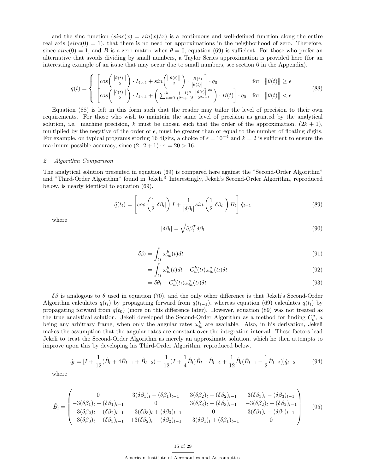and the sinc function  $(sinc(x) = sin(x)/x)$  is a continuous and well-defined function along the entire real axis  $(sinc(0) = 1)$ , that there is no need for approximations in the neighborhood of zero. Therefore, since  $sinc(0) = 1$ , and B is a zero matrix when  $\theta = 0$ , equation (69) is sufficient. For those who prefer an alternative that avoids dividing by small numbers, a Taylor Series approximation is provided here (for an interesting example of an issue that may occur due to small numbers, see section 6 in the Appendix).

$$
q(t) = \begin{cases} \begin{bmatrix} \cos\left(\frac{\|\theta(t)\|}{2}\right) \cdot I_{4\times 4} + \sin\left(\frac{\|\theta(t)\|}{2}\right) \cdot \frac{B(t)}{\|\theta(t)\|} \\ \cos\left(\frac{\|\theta(t)\|}{2}\right) \cdot I_{4\times 4} + \left(\sum_{n=0}^{k} \frac{(-1)^n}{(2n+1)!} \frac{\|\theta(t)\|^{2n}}{2^{2n+1}}\right) \cdot B(t) \end{bmatrix} \cdot q_0 & \text{for } \|\theta(t)\| < \epsilon \end{cases}
$$
\n(88)

Equation (88) is left in this form such that the reader may tailor the level of precision to their own requirements. For those who wish to maintain the same level of precision as granted by the analytical solution, i.e. machine precision, k must be chosen such that the order of the approximation,  $(2k + 1)$ , multiplied by the negative of the order of  $\epsilon$ , must be greater than or equal to the number of floating digits. For example, on typical programs storing 16 digits, a choice of  $\epsilon = 10^{-4}$  and  $k = 2$  is sufficient to ensure the maximum possible accuracy, since  $(2 \cdot 2 + 1) \cdot 4 = 20 > 16$ .

#### 2. Algorithm Comparison

The analytical solution presented in equation (69) is compared here against the "Second-Order Algorithm" and "Third-Order Algorithm" found in Jekeli.<sup>3</sup> Interestingly, Jekeli's Second-Order Algorithm, reproduced below, is nearly identical to equation (69).

$$
\hat{q}(t_l) = \left[ \cos \left( \frac{1}{2} |\delta \beta_l| \right) I + \frac{1}{|\delta \beta_l|} \sin \left( \frac{1}{2} |\delta \beta_l| \right) B_l \right] \hat{q}_{l-1} \tag{89}
$$

where

$$
|\delta \beta_l| = \sqrt{\delta \beta_l^T \delta \beta_l} \tag{90}
$$

$$
\delta\beta_l = \int_{\delta t} \omega_{ab}^b(t)dt\tag{91}
$$

$$
= \int_{\delta t} \omega_{ib}^b(t)dt - C_a^b(t_l)\omega_{ia}^a(t_l)\delta t \tag{92}
$$

$$
= \delta\theta_l - C_a^b(t_l)\omega_{ia}^a(t_l)\delta t \tag{93}
$$

δβ is analogous to θ used in equation (70), and the only other difference is that Jekeli's Second-Order Algorithm calculates  $q(t_l)$  by propagating forward from  $q(t_{l-1})$ , whereas equation (69) calculates  $q(t_l)$  by propagating forward from  $q(t_0)$  (more on this difference later). However, equation (89) was not treated as the true analytical solution. Jekeli developed the Second-Order Algorithm as a method for finding  $C_b^a$ , a being any arbitrary frame, when only the angular rates  $\omega_{ib}^b$  are available. Also, in his derivation, Jekeli makes the assumption that the angular rates are constant over the integration interval. These factors lead Jekeli to treat the Second-Order Algorithm as merely an approximate solution, which he then attempts to improve upon this by developing his Third-Order Algorithm, reproduced below.

$$
\hat{q}_l = [I + \frac{1}{12}(\hat{B}_l + 4\hat{B}_{l-1} + \hat{B}_{l-2}) + \frac{1}{12}(I + \frac{1}{4}\hat{B}_l)\hat{B}_{l-1}\hat{B}_{l-2} + \frac{1}{12}\hat{B}_l(\hat{B}_{l-1} - \frac{1}{2}\hat{B}_{l-2})]\hat{q}_{l-2}
$$
(94)

where

$$
\hat{B}_{l} = \begin{pmatrix}\n0 & 3(\delta\beta_{1})_{l} - (\delta\beta_{1})_{l-1} & 3(\delta\beta_{2})_{l} - (\delta\beta_{2})_{l-1} & 3(\delta\beta_{3})_{l} - (\delta\beta_{3})_{l-1} \\
-3(\delta\beta_{1})_{l} + (\delta\beta_{1})_{l-1} & 0 & 3(\delta\beta_{3})_{l} - (\delta\beta_{3})_{l-1} & -3(\delta\beta_{2})_{l} + (\delta\beta_{2})_{l-1} \\
-3(\delta\beta_{2})_{l} + (\delta\beta_{2})_{l-1} & -3(\delta\beta_{3})_{l} + (\delta\beta_{3})_{l-1} & 0 & 3(\delta\beta_{1})_{l} - (\delta\beta_{1})_{l-1} \\
-3(\delta\beta_{3})_{l} + (\delta\beta_{3})_{l-1} & +3(\delta\beta_{2})_{l} - (\delta\beta_{2})_{l-1} & -3(\delta\beta_{1})_{l} + (\delta\beta_{1})_{l-1} & 0\n\end{pmatrix}
$$
\n(95)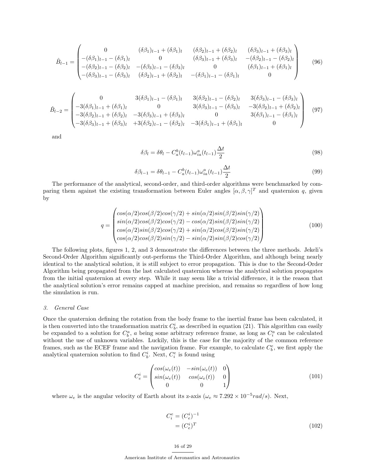$$
\hat{B}_{l-1} = \begin{pmatrix}\n0 & (\delta\beta_1)_{l-1} + (\delta\beta_1)_{l} & (\delta\beta_2)_{l-1} + (\delta\beta_2)_{l} & (\delta\beta_3)_{l-1} + (\delta\beta_3)_{l} \\
-(\delta\beta_1)_{l-1} - (\delta\beta_1)_{l} & 0 & (\delta\beta_3)_{l-1} + (\delta\beta_3)_{l} & -(\delta\beta_2)_{l-1} - (\delta\beta_2)_{l} \\
-(\delta\beta_2)_{l-1} - (\delta\beta_2)_{l} & -(\delta\beta_3)_{l-1} - (\delta\beta_3)_{l} & 0 & (\delta\beta_1)_{l-1} + (\delta\beta_1)_{l} \\
-(\delta\beta_3)_{l-1} - (\delta\beta_3)_{l} & (\delta\beta_2)_{l-1} + (\delta\beta_2)_{l} & -(\delta\beta_1)_{l-1} - (\delta\beta_1)_{l}\n\end{pmatrix}
$$
\n(96)

$$
\hat{B}_{l-2} = \begin{pmatrix}\n0 & 3(\delta\beta_1)_{l-1} - (\delta\beta_1)_{l} & 3(\delta\beta_2)_{l-1} - (\delta\beta_2)_{l} & 3(\delta\beta_3)_{l-1} - (\delta\beta_3)_{l} \\
-3(\delta\beta_1)_{l-1} + (\delta\beta_1)_{l} & 0 & 3(\delta\beta_3)_{l-1} - (\delta\beta_3)_{l} & -3(\delta\beta_2)_{l-1} + (\delta\beta_2)_{l} \\
-3(\delta\beta_2)_{l-1} + (\delta\beta_2)_{l} & -3(\delta\beta_3)_{l-1} + (\delta\beta_3)_{l} & 0 & 3(\delta\beta_1)_{l-1} - (\delta\beta_1)_{l} \\
-3(\delta\beta_3)_{l-1} + (\delta\beta_3)_{l} & +3(\delta\beta_2)_{l-1} - (\delta\beta_2)_{l} & -3(\delta\beta_1)_{l-1} + (\delta\beta_1)_{l} & 0\n\end{pmatrix}
$$
\n(97)

and

$$
\delta\beta_l = \delta\theta_l - C_a^b(t_{l-1})\omega_{ia}^a(t_{l-1})\frac{\Delta t}{2}
$$
\n(98)

$$
\delta\beta_{l-1} = \delta\theta_{l-1} - C_a^b(t_{l-1})\omega_{ia}^a(t_{l-1})\frac{\Delta t}{2}
$$
\n(99)

The performance of the analytical, second-order, and third-order algorithms were benchmarked by comparing them against the existing transformation between Euler angles  $[\alpha, \beta, \gamma]^T$  and quaternion q, given by

$$
q = \begin{pmatrix} \cos(\alpha/2)\cos(\beta/2)\cos(\gamma/2) + \sin(\alpha/2)\sin(\beta/2)\sin(\gamma/2) \\ \sin(\alpha/2)\cos(\beta/2)\cos(\gamma/2) - \cos(\alpha/2)\sin(\beta/2)\sin(\gamma/2) \\ \cos(\alpha/2)\sin(\beta/2)\cos(\gamma/2) + \sin(\alpha/2)\cos(\beta/2)\sin(\gamma/2) \\ \cos(\alpha/2)\cos(\beta/2)\sin(\gamma/2) - \sin(\alpha/2)\sin(\beta/2)\cos(\gamma/2) \end{pmatrix}
$$
(100)

The following plots, figures 1, 2, and 3 demonstrate the differences between the three methods. Jekeli's Second-Order Algorithm significantly out-performs the Third-Order Algorithm, and although being nearly identical to the analytical solution, it is still subject to error propagation. This is due to the Second-Order Algorithm being propagated from the last calculated quaternion whereas the analytical solution propagates from the initial quaternion at every step. While it may seem like a trivial difference, it is the reason that the analytical solution's error remains capped at machine precision, and remains so regardless of how long the simulation is run.

#### 3. General Case

Once the quaternion defining the rotation from the body frame to the inertial frame has been calculated, it is then converted into the transformation matrix  $C_b^i$ , as described in equation (21). This algorithm can easily be expanded to a solution for  $C_b^a$ , a being some arbitrary reference frame, as long as  $C_i^a$  can be calculated without the use of unknown variables. Luckily, this is the case for the majority of the common reference frames, such as the ECEF frame and the navigation frame. For example, to calculate  $C_b^e$ , we first apply the analytical quaternion solution to find  $C_b^i$ . Next,  $C_i^e$  is found using

$$
C_e^i = \begin{pmatrix} \cos(\omega_e(t)) & -\sin(\omega_e(t)) & 0\\ \sin(\omega_e(t)) & \cos(\omega_e(t)) & 0\\ 0 & 0 & 1 \end{pmatrix}
$$
(101)

where  $\omega_e$  is the angular velocity of Earth about its z-axis  $(\omega_e \approx 7.292 \times 10^{-5} rad/s)$ . Next,

$$
C_i^e = (C_e^i)^{-1}
$$

$$
= (C_e^i)^T
$$
(102)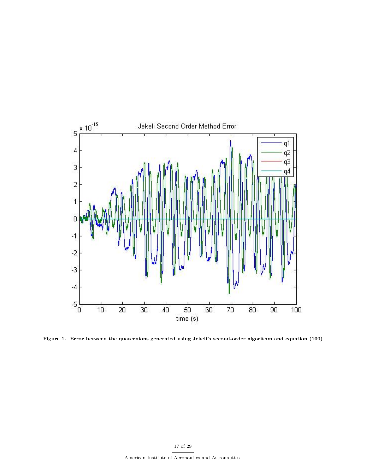

Figure 1. Error between the quaternions generated using Jekeli's second-order algorithm and equation (100)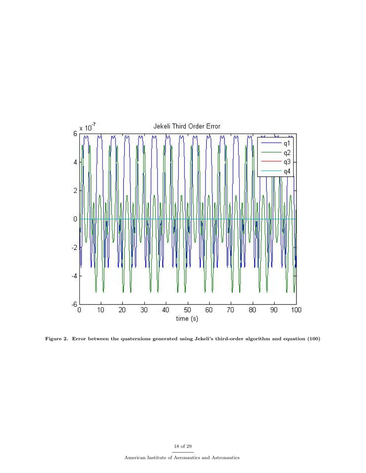

Figure 2. Error between the quaternions generated using Jekeli's third-order algorithm and equation (100)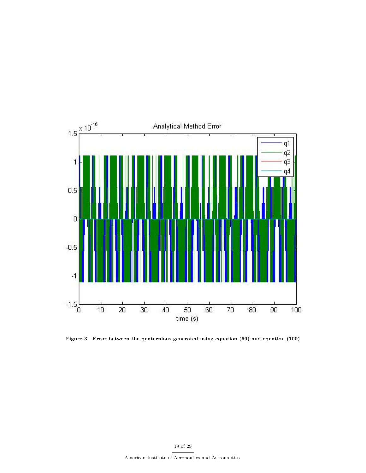

Figure 3. Error between the quaternions generated using equation (69) and equation (100)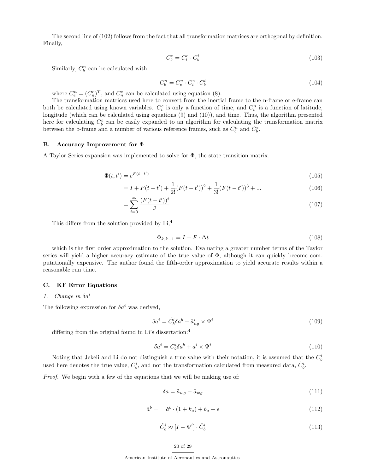The second line of (102) follows from the fact that all transformation matrices are orthogonal by definition. Finally,

$$
C_b^e = C_i^e \cdot C_b^i \tag{103}
$$

Similarly,  $C_b^n$  can be calculated with

$$
C_b^n = C_e^n \cdot C_i^i \cdot C_b^i \tag{104}
$$

where  $C_e^n = (C_n^e)^T$ , and  $C_n^e$  can be calculated using equation (8).

The transformation matrices used here to convert from the inertial frame to the n-frame or e-frame can both be calculated using known variables.  $C_i^e$  is only a function of time, and  $C_i^n$  is a function of latitude, longitude (which can be calculated using equations (9) and (10)), and time. Thus, the algorithm presented here for calculating  $C_b^i$  can be easily expanded to an algorithm for calculating the transformation matrix between the b-frame and a number of various reference frames, such as  $C_b^n$  and  $C_b^e$ .

## B. Accuracy Improvement for Φ

A Taylor Series expansion was implemented to solve for Φ, the state transition matrix.

$$
\Phi(t, t') = e^{F(t - t')} \tag{105}
$$

$$
= I + F(t - t') + \frac{1}{2!} (F(t - t'))^{2} + \frac{1}{3!} (F(t - t'))^{3} + \dots
$$
\n(106)

$$
=\sum_{i=0}^{\infty} \frac{(F(t-t'))^i}{i!} \tag{107}
$$

This differs from the solution provided by Li,<sup>4</sup>

$$
\Phi_{k,k-1} = I + F \cdot \Delta t \tag{108}
$$

which is the first order approximation to the solution. Evaluating a greater number terms of the Taylor series will yield a higher accuracy estimate of the true value of Φ, although it can quickly become computationally expensive. The author found the fifth-order approximation to yield accurate results within a reasonable run time.

#### C. KF Error Equations

## 1. Change in  $\delta a^i$

The following expression for  $\delta a^i$  was derived,

$$
\delta a^i = \hat{C}_b^i \delta a^b + \check{a}_{ng}^i \times \Psi^i \tag{109}
$$

differing from the original found in Li's dissertation:<sup>4</sup>

$$
\delta a^i = C_b^i \delta a^b + a^i \times \Psi^i \tag{110}
$$

Noting that Jekeli and Li do not distinguish a true value with their notation, it is assumed that the  $C_b^i$ used here denotes the true value,  $\check{C}_b^i$ , and not the transformation calculated from measured data,  $\hat{C}_b^i$ .

Proof. We begin with a few of the equations that we will be making use of:

$$
\delta a = \tilde{a}_{wg} - \check{a}_{wg} \tag{111}
$$

$$
\tilde{a}^b = \tilde{a}^b \cdot (1 + k_a) + b_a + \epsilon \tag{112}
$$

$$
\hat{C}_b^i \approx [I - \Psi^i] \cdot \check{C}_b^i \tag{113}
$$

$$
20\ \mathrm{of}\ 29
$$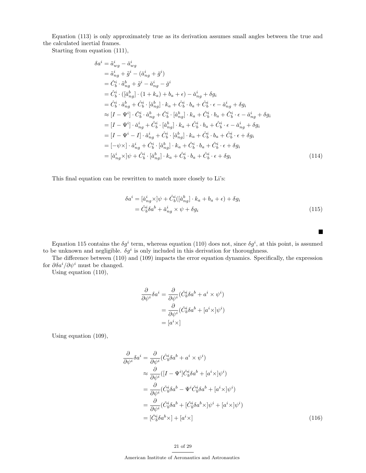Equation (113) is only approximately true as its derivation assumes small angles between the true and the calculated inertial frames.

Starting from equation (111),

$$
\delta a^{i} = \tilde{a}_{wg}^{i} - \check{a}_{wg}^{i}
$$
\n
$$
= \tilde{a}_{ng}^{i} + \tilde{g}^{i} - (\check{a}_{ng}^{i} + \check{g}^{i})
$$
\n
$$
= \hat{C}_{b}^{i} \cdot \tilde{a}_{ng}^{b} + \tilde{g}^{i} - \check{a}_{ng}^{i} - \check{g}^{i}
$$
\n
$$
= \hat{C}_{b}^{i} \cdot ([\check{a}_{ng}^{b}] \cdot (1 + k_{a}) + b_{a} + \epsilon) - \check{a}_{ng}^{i} + \delta g_{i}
$$
\n
$$
= \hat{C}_{b}^{i} \cdot \check{a}_{ng}^{b} + \hat{C}_{b}^{i} \cdot [\check{a}_{ng}^{b}] \cdot k_{a} + \hat{C}_{b}^{i} \cdot b_{a} + \hat{C}_{b}^{i} \cdot \epsilon - \check{a}_{ng}^{i} + \delta g_{i}
$$
\n
$$
\approx [I - \Psi^{i}] \cdot \check{C}_{b}^{i} \cdot \check{a}_{ng}^{b} + \hat{C}_{b}^{i} \cdot [\check{a}_{ng}^{b}] \cdot k_{a} + \hat{C}_{b}^{i} \cdot b_{a} + \hat{C}_{b}^{i} \cdot \epsilon - \check{a}_{ng}^{i} + \delta g_{i}
$$
\n
$$
= [I - \Psi^{i}] \cdot \check{a}_{ng}^{i} + \hat{C}_{b}^{i} \cdot [\check{a}_{ng}^{b}] \cdot k_{a} + \hat{C}_{b}^{i} \cdot b_{a} + \hat{C}_{b}^{i} \cdot \epsilon - \check{a}_{ng}^{i} + \delta g_{i}
$$
\n
$$
= [I - \Psi^{i} - I] \cdot \check{a}_{ng}^{i} + \hat{C}_{b}^{i} \cdot [\check{a}_{ng}^{b}] \cdot k_{a} + \hat{C}_{b}^{i} \cdot b_{a} + \hat{C}_{b}^{i} \cdot \epsilon + \delta g_{i}
$$
\n
$$
= [-\psi \times] \cdot \check{a}_{ng}^{i} + \hat{C}_{b}^{i} \cdot [\check{a}_{ng}^{b}] \cdot k_{a} + \hat{C}_{b}^{i} \cdot b_{a} + \hat{C}_{b}^{i} \cdot \epsilon + \delta g_{i}
$$
\n

This final equation can be rewritten to match more closely to Li's:

$$
\delta a^{i} = [\check{a}_{ng}^{i} \times ]\psi + \hat{C}_{b}^{i}([\check{a}_{ng}^{b}] \cdot k_{a} + b_{a} + \epsilon) + \delta g_{i}
$$
  
=  $\hat{C}_{b}^{i} \delta a^{b} + \check{a}_{ng}^{i} \times \psi + \delta g_{i}$  (115)

 $\blacksquare$ 

Equation 115 contains the  $\delta g^i$  term, whereas equation (110) does not, since  $\delta g^i$ , at this point, is assumed to be unknown and negligible.  $\delta g^i$  is only included in this derivation for thoroughness.

The difference between (110) and (109) impacts the error equation dynamics. Specifically, the expression for  $\partial \delta a^i / \partial \psi^i$  must be changed.

Using equation (110),

$$
\frac{\partial}{\partial \psi^i} \delta a^i = \frac{\partial}{\partial \psi^i} (\check{C}_b^i \delta a^b + a^i \times \psi^i)
$$

$$
= \frac{\partial}{\partial \psi^i} (\check{C}_b^i \delta a^b + [a^i \times ]\psi^i)
$$

$$
= [a^i \times ]
$$

Using equation (109),

$$
\frac{\partial}{\partial \psi^i} \delta a^i = \frac{\partial}{\partial \psi^i} (\hat{C}_b^i \delta a^b + a^i \times \psi^i)
$$
  
\n
$$
\approx \frac{\partial}{\partial \psi^i} ([I - \Psi^i] \check{C}_b^i \delta a^b + [a^i \times] \psi^i)
$$
  
\n
$$
= \frac{\partial}{\partial \psi^i} (\check{C}_b^i \delta a^b - \Psi^i \check{C}_b^i \delta a^b + [a^i \times] \psi^i)
$$
  
\n
$$
= \frac{\partial}{\partial \psi^i} (\check{C}_b^i \delta a^b + [\check{C}_b^i \delta a^b \times] \psi^i + [a^i \times] \psi^i)
$$
  
\n
$$
= [\check{C}_b^i \delta a^b \times] + [a^i \times] \tag{116}
$$

## 21 of 29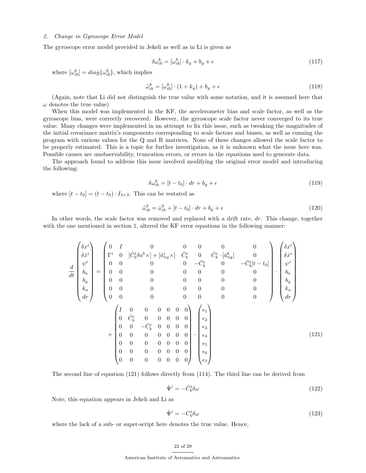## 2. Change in Gyroscope Error Model

The gyroscope error model provided in Jekeli as well as in Li is given as

$$
\delta\omega_{ib}^b = [\omega_{ib}^b] \cdot k_g + b_g + \epsilon \tag{117}
$$

where  $[\omega_{ib}^b] = diag\{\omega_{ib}^b\}$ , which implies

$$
\tilde{\omega}_{ib}^b = [\omega_{ib}^b] \cdot (1 + k_g) + b_g + \epsilon \tag{118}
$$

(Again, note that Li did not distinguish the true value with some notation, and it is assumed here that  $\omega$  denotes the true value)

When this model was implemented in the KF, the accelerometer bias and scale factor, as well as the gyroscope bias, were correctly recovered. However, the gyroscope scale factor never converged to its true value. Many changes were implemented in an attempt to fix this issue, such as tweaking the magnitudes of the initial covariance matrix's components corresponding to scale factors and biases, as well as running the program with various values for the Q and R matrices. None of these changes allowed the scale factor to be properly estimated. This is a topic for further investigation, as it is unknown what the issue here was. Possible causes are unobservability, truncation errors, or errors in the equations used to generate data.

The approach found to address this issue involved modifying the original error model and introducing the following:

$$
\delta\omega_{ib}^b = [t - t_0] \cdot dr + b_g + \epsilon \tag{119}
$$

where  $[t - t_0] = (t - t_0) \cdot I_{3 \times 3}$ . This can be restated as

$$
\tilde{\omega}_{ib}^b = \tilde{\omega}_{ib}^b + [t - t_0] \cdot dr + b_g + \epsilon \tag{120}
$$

In other words, the scale factor was removed and replaced with a drift rate, dr. This change, together with the one mentioned in section 1, altered the KF error equations in the following manner:

$$
\frac{d}{dt} \begin{pmatrix} \delta x^{i} \\ \delta \dot{x}^{i} \\ \psi^{i} \\ \delta u \\ h_{a} \\ h_{c} \\ dr \end{pmatrix} = \begin{pmatrix} 0 & I & 0 & 0 & 0 & 0 & 0 & 0 \\ \Gamma^{i} & 0 & [\check{C}_{b}^{i} \delta a^{b} \times ] + [\check{a}_{ng}^{i} \times ] & \hat{C}_{b}^{i} & 0 & \hat{C}_{b}^{i} \cdot [\check{a}_{ng}^{b} ] & 0 \\ 0 & 0 & 0 & 0 & -\check{C}_{b}^{i} & 0 & -\check{C}_{b}^{i} [t - t_{0} ] \\ 0 & 0 & 0 & 0 & 0 & 0 & 0 & 0 \\ 0 & 0 & 0 & 0 & 0 & 0 & 0 & 0 \\ 0 & 0 & 0 & 0 & 0 & 0 & 0 & 0 \\ 0 & 0 & 0 & 0 & 0 & 0 & 0 & 0 \end{pmatrix} \cdot \begin{pmatrix} \delta x^{i} \\ \delta x^{i} \\ \delta u \\ h_{a} \\ h_{a} \\ h_{c} \\ h_{d} \end{pmatrix}
$$
\n
$$
+ \begin{pmatrix} I & 0 & 0 & 0 & 0 & 0 & 0 & 0 \\ 0 & \hat{C}_{b}^{i} & 0 & 0 & 0 & 0 & 0 \\ 0 & 0 & -\check{C}_{b}^{i} & 0 & 0 & 0 & 0 & 0 \\ 0 & 0 & -\check{C}_{b}^{i} & 0 & 0 & 0 & 0 & 0 \\ 0 & 0 & 0 & 0 & 0 & 0 & 0 & 0 \end{pmatrix} \cdot \begin{pmatrix} \epsilon_{1} \\ \epsilon_{2} \\ \epsilon_{3} \\ \epsilon_{4} \\ \epsilon_{5} \\ \epsilon_{6} \\ \epsilon_{7} \\ \epsilon_{8} \\ \epsilon_{9} \\ \epsilon_{9} \\ \epsilon_{1} \\ \epsilon_{1} \\ \epsilon_{2} \\ \epsilon_{3} \\ \epsilon_{4} \\ \epsilon_{5} \\ \epsilon_{6} \\ \epsilon_{7} \end{pmatrix}
$$
\n(121)

The second line of equation (121) follows directly from (114). The third line can be derived from

$$
\dot{\Psi}^i = -\check{C}_b^i \delta \omega \tag{122}
$$

Note, this equation appears in Jekeli and Li as

$$
\dot{\Psi}^i = -C_b^i \delta \omega \tag{123}
$$

where the lack of a sub- or super-script here denotes the true value. Hence,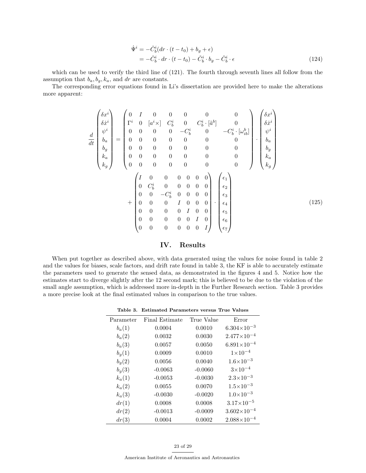$$
\begin{split} \dot{\Psi}^i &= -\check{C}_b^i (dr \cdot (t - t_0) + b_g + \epsilon) \\ &= -\check{C}_b^i \cdot dr \cdot (t - t_0) - \check{C}_b^i \cdot b_g - \check{C}_b^i \cdot \epsilon \end{split} \tag{124}
$$

which can be used to verify the third line of  $(121)$ . The fourth through seventh lines all follow from the assumption that  $b_a, b_q, k_a$ , and dr are constants.

The corresponding error equations found in Li's dissertation are provided here to make the alterations more apparent:

$$
\frac{d}{dt} \begin{pmatrix} \delta x^i \\ \delta \dot{x}^i \\ \psi^i \\ \delta a \\ h_a \\ k_a \\ k_g \end{pmatrix} = \begin{pmatrix} 0 & I & 0 & 0 & 0 & 0 & 0 & 0 \\ \Gamma^i & 0 & [a^i \times ] & C_b^i & 0 & C_b^i \cdot [\tilde{a}^b] & 0 \\ 0 & 0 & 0 & 0 & -C_b^i & 0 & -C_b^i \cdot [\omega_{ib}^b] \\ 0 & 0 & 0 & 0 & 0 & 0 & 0 & 0 \\ 0 & 0 & 0 & 0 & 0 & 0 & 0 & 0 \\ 0 & 0 & 0 & 0 & 0 & 0 & 0 & 0 \\ 0 & 0 & 0 & 0 & 0 & 0 & 0 & 0 \\ 0 & C_b^i & 0 & 0 & 0 & 0 & 0 & 0 \\ 0 & C_b^i & 0 & 0 & 0 & 0 & 0 & 0 \\ 0 & 0 & -C_b^i & 0 & 0 & 0 & 0 & 0 \\ 0 & 0 & 0 & I & 0 & 0 & 0 & 0 \\ 0 & 0 & 0 & 0 & 0 & 0 & 0 & 0 \end{pmatrix} \begin{pmatrix} \epsilon_1 \\ \epsilon_2 \\ \epsilon_3 \\ \epsilon_4 \\ \epsilon_5 \\ \epsilon_6 \\ \epsilon_7 \end{pmatrix}
$$
 (125)

## IV. Results

When put together as described above, with data generated using the values for noise found in table 2 and the values for biases, scale factors, and drift rate found in table 3, the KF is able to accurately estimate the parameters used to generate the sensed data, as demonstrated in the figures 4 and 5. Notice how the estimates start to diverge slightly after the 12 second mark; this is believed to be due to the violation of the small angle assumption, which is addressed more in-depth in the Further Research section. Table 3 provides a more precise look at the final estimated values in comparison to the true values.

Table 3. Estimated Parameters versus True Values

| Parameter | Final Estimate | True Value | Error                  |
|-----------|----------------|------------|------------------------|
| $b_a(1)$  | 0.0004         | 0.0010     | $6.304\times10^{-3}$   |
| $b_a(2)$  | 0.0032         | 0.0030     | $2.477 \times 10^{-4}$ |
| $b_a(3)$  | 0.0057         | 0.0050     | $6.891\times10^{-4}$   |
| $b_q(1)$  | 0.0009         | 0.0010     | $1 \times 10^{-4}$     |
| $b_q(2)$  | 0.0056         | 0.0040     | $1.6 \times 10^{-3}$   |
| $b_q(3)$  | $-0.0063$      | $-0.0060$  | $3 \times 10^{-4}$     |
| $k_a(1)$  | $-0.0053$      | $-0.0030$  | $2.3 \times 10^{-3}$   |
| $k_a(2)$  | 0.0055         | 0.0070     | $1.5 \times 10^{-3}$   |
| $k_a(3)$  | $-0.0030$      | $-0.0020$  | $1.0\times10^{-3}$     |
| dr(1)     | 0.0008         | 0.0008     | $3.17 \times 10^{-5}$  |
| dr(2)     | $-0.0013$      | $-0.0009$  | $3.602\times10^{-4}$   |
| dr(3)     | 0.0004         | 0.0002     | $2.088\times10^{-4}$   |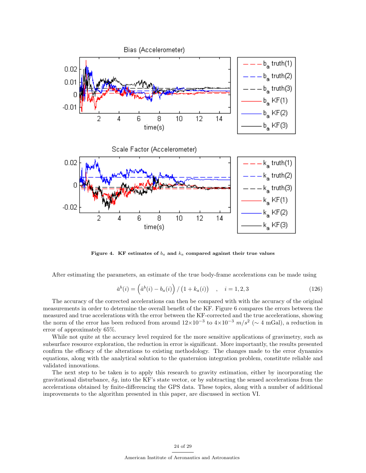

Figure 4. KF estimates of  $b_a$  and  $k_a$  compared against their true values

After estimating the parameters, an estimate of the true body-frame accelerations can be made using

$$
\check{a}^{b}(i) = (\hat{a}^{b}(i) - b_{a}(i)) / (1 + k_{a}(i)) , \quad i = 1, 2, 3
$$
\n(126)

The accuracy of the corrected accelerations can then be compared with with the accuracy of the original measurements in order to determine the overall benefit of the KF. Figure 6 compares the errors between the measured and true accelerations with the error between the KF-corrected and the true accelerations, showing the norm of the error has been reduced from around  $12\times10^{-3}$  to  $4\times10^{-3}$   $m/s^2$  ( $\sim 4$  mGal), a reduction in error of approximately 65%.

While not quite at the accuracy level required for the more sensitive applications of gravimetry, such as subsurface resource exploration, the reduction in error is significant. More importantly, the results presented confirm the efficacy of the alterations to existing methodology. The changes made to the error dynamics equations, along with the analytical solution to the quaternion integration problem, constitute reliable and validated innovations.

The next step to be taken is to apply this research to gravity estimation, either by incorporating the gravitational disturbance,  $\delta g$ , into the KF's state vector, or by subtracting the sensed accelerations from the accelerations obtained by finite-differencing the GPS data. These topics, along with a number of additional improvements to the algorithm presented in this paper, are discussed in section VI.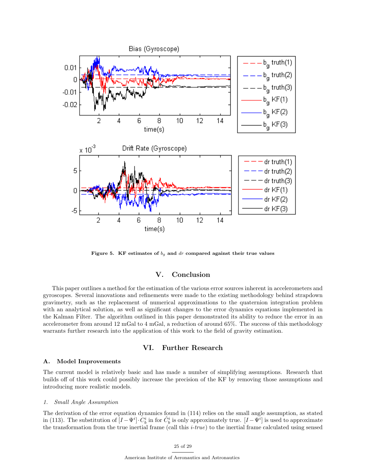

Figure 5. KF estimates of  $b_g$  and dr compared against their true values

## V. Conclusion

This paper outlines a method for the estimation of the various error sources inherent in accelerometers and gyroscopes. Several innovations and refinements were made to the existing methodology behind strapdown gravimetry, such as the replacement of numerical approximations to the quaternion integration problem with an analytical solution, as well as significant changes to the error dynamics equations implemented in the Kalman Filter. The algorithm outlined in this paper demonstrated its ability to reduce the error in an accelerometer from around 12 mGal to 4 mGal, a reduction of around 65%. The success of this methodology warrants further research into the application of this work to the field of gravity estimation.

# VI. Further Research

## A. Model Improvements

The current model is relatively basic and has made a number of simplifying assumptions. Research that builds off of this work could possibly increase the precision of the KF by removing those assumptions and introducing more realistic models.

### 1. Small Angle Assumption

The derivation of the error equation dynamics found in (114) relies on the small angle assumption, as stated in (113). The substitution of  $[I - \Psi^i] \cdot C_b^i$  in for  $\hat{C}_b^i$  is only approximately true.  $[I - \Psi^i]$  is used to approximate the transformation from the true inertial frame (call this  $i$ -true) to the inertial frame calculated using sensed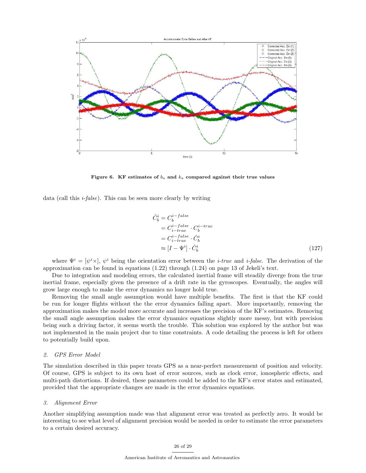

Figure 6. KF estimates of  $b_a$  and  $k_a$  compared against their true values

data (call this  $i$ -false). This can be seen more clearly by writing

$$
\hat{C}_b^i = C_b^{i-false} \n= C_{i-true}^{i-false} \cdot C_b^{i-true} \n= C_{i-true}^{i-false} \cdot \check{C}_b^i \n\approx [I - \Psi^i] \cdot \check{C}_b^i
$$
\n(127)

where  $\Psi^i = [\psi^i \times], \psi^i$  being the orientation error between the *i-true* and *i-false*. The derivation of the approximation can be found in equations (1.22) through (1.24) on page 13 of Jekeli's text.

Due to integration and modeling errors, the calculated inertial frame will steadily diverge from the true inertial frame, especially given the presence of a drift rate in the gyroscopes. Eventually, the angles will grow large enough to make the error dynamics no longer hold true.

Removing the small angle assumption would have multiple benefits. The first is that the KF could be run for longer flights without the the error dynamics falling apart. More importantly, removing the approximation makes the model more accurate and increases the precision of the KF's estimates. Removing the small angle assumption makes the error dynamics equations slightly more messy, but with precision being such a driving factor, it seems worth the trouble. This solution was explored by the author but was not implemented in the main project due to time constraints. A code detailing the process is left for others to potentially build upon.

## 2. GPS Error Model

The simulation described in this paper treats GPS as a near-perfect measurement of position and velocity. Of course, GPS is subject to its own host of error sources, such as clock error, ionospheric effects, and multi-path distortions. If desired, these parameters could be added to the KF's error states and estimated, provided that the appropriate changes are made in the error dynamics equations.

#### 3. Alignment Error

Another simplifying assumption made was that alignment error was treated as perfectly zero. It would be interesting to see what level of alignment precision would be needed in order to estimate the error parameters to a certain desired accuracy.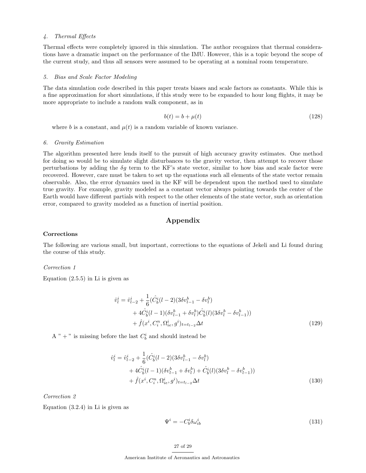## 4. Thermal Effects

Thermal effects were completely ignored in this simulation. The author recognizes that thermal considerations have a dramatic impact on the performance of the IMU. However, this is a topic beyond the scope of the current study, and thus all sensors were assumed to be operating at a nominal room temperature.

#### 5. Bias and Scale Factor Modeling

The data simulation code described in this paper treats biases and scale factors as constants. While this is a fine approximation for short simulations, if this study were to be expanded to hour long flights, it may be more appropriate to include a random walk component, as in

$$
b(t) = b + \mu(t) \tag{128}
$$

where b is a constant, and  $\mu(t)$  is a random variable of known variance.

#### 6. Gravity Estimation

The algorithm presented here lends itself to the pursuit of high accuracy gravity estimates. One method for doing so would be to simulate slight disturbances to the gravity vector, then attempt to recover those perturbations by adding the  $\delta q$  term to the KF's state vector, similar to how bias and scale factor were recovered. However, care must be taken to set up the equations such all elements of the state vector remain observable. Also, the error dynamics used in the KF will be dependent upon the method used to simulate true gravity. For example, gravity modeled as a constant vector always pointing towards the center of the Earth would have different partials with respect to the other elements of the state vector, such as orientation error, compared to gravity modeled as a function of inertial position.

# Appendix

## Corrections

The following are various small, but important, corrections to the equations of Jekeli and Li found during the course of this study.

#### Correction 1

Equation  $(2.5.5)$  in Li is given as

$$
\hat{v}_l^i = \hat{v}_{l-2}^i + \frac{1}{6} (\hat{C}_b^i (l-2)(3\delta v_{l-1}^b - \delta v_l^b) \n+ 4\hat{C}_b^i (l-1)(\delta v_{l-1}^b + \delta v_l^b) \hat{C}_b^i (l)(3\delta v_l^b - \delta v_{l-1}^b)) \n+ \hat{f}(x^i, C_i^n, \Omega_{ie}^i, g^i)_{t=t_{l-2}} \Delta t
$$
\n(129)

A " + " is missing before the last  $C_b^i$  and should instead be

$$
\hat{v}_l^i = \hat{v}_{l-2}^i + \frac{1}{6} (\hat{C}_b^i (l-2)(3\delta v_{l-1}^b - \delta v_l^b) \n+ 4\hat{C}_b^i (l-1)(\delta v_{l-1}^b + \delta v_l^b) + \hat{C}_b^i (l)(3\delta v_l^b - \delta v_{l-1}^b)) \n+ \hat{f}(x^i, C_i^n, \Omega_{ie}^i, g^i)_{t=t_{l-2}} \Delta t
$$
\n(130)

Correction 2

Equation (3.2.4) in Li is given as

$$
\Psi^i = -C_b^i \delta \omega_{ib}^i \tag{131}
$$

#### 27 of 29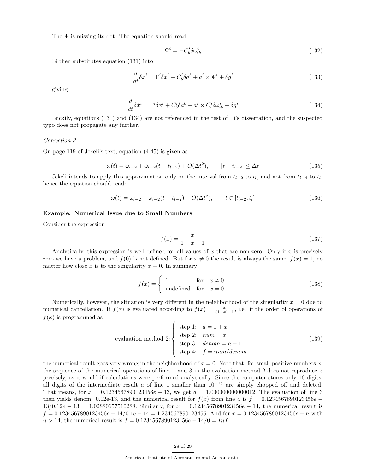The  $\Psi$  is missing its dot. The equation should read

$$
\dot{\Psi}^i = -C_b^i \delta \omega_{ib}^i \tag{132}
$$

Li then substitutes equation (131) into

$$
\frac{d}{dt}\delta\dot{x}^i = \Gamma^i \delta x^i + C_b^i \delta a^b + a^i \times \Psi^i + \delta g^i \tag{133}
$$

giving

$$
\frac{d}{dt}\delta\dot{x}^i = \Gamma^i \delta x^i + C_b^i \delta a^b - a^i \times C_b^i \delta \omega_{ib}^i + \delta g^i \tag{134}
$$

Luckily, equations (131) and (134) are not referenced in the rest of Li's dissertation, and the suspected typo does not propagate any further.

## Correction 3

On page 119 of Jekeli's text, equation (4.45) is given as

$$
\omega(t) = \omega_{l-2} + \dot{\omega}_{l-2}(t - t_{l-2}) + O(\Delta t^2), \qquad |t - t_{l-2}| \le \Delta t \tag{135}
$$

Jekeli intends to apply this approximation only on the interval from  $t_{l-2}$  to  $t_l$ , and not from  $t_{l-4}$  to  $t_l$ , hence the equation should read:

$$
\omega(t) = \omega_{l-2} + \dot{\omega}_{l-2}(t - t_{l-2}) + O(\Delta t^2), \qquad t \in [t_{l-2}, t_l]
$$
\n(136)

#### Example: Numerical Issue due to Small Numbers

Consider the expression

$$
f(x) = \frac{x}{1+x-1}
$$
 (137)

Analytically, this expression is well-defined for all values of x that are non-zero. Only if x is precisely zero we have a problem, and  $f(0)$  is not defined. But for  $x \neq 0$  the result is always the same,  $f(x) = 1$ , no matter how close x is to the singularity  $x = 0$ . In summary

$$
f(x) = \begin{cases} 1 & \text{for } x \neq 0 \\ \text{undefined} & \text{for } x = 0 \end{cases}
$$
 (138)

Numerically, however, the situation is very different in the neighborhood of the singularity  $x = 0$  due to numerical cancellation. If  $f(x)$  is evaluated according to  $f(x) = \frac{x}{(1+x)-1}$ , i.e. if the order of operations of  $f(x)$  is programmed as

$$
\text{evaluation method 2:} \begin{cases} \text{step 1:} & a = 1 + x \\ \text{step 2:} & num = x \\ \text{step 3:} & denom = a - 1 \\ \text{step 4:} & f = num/denom \end{cases} \tag{139}
$$

the numerical result goes very wrong in the neighborhood of  $x = 0$ . Note that, for small positive numbers x, the sequence of the numerical operations of lines 1 and 3 in the evaluation method 2 does not reproduce  $x$ precisely, as it would if calculations were performed analytically. Since the computer stores only 16 digits, all digits of the intermediate result a of line 1 smaller than  $10^{-16}$  are simply chopped off and deleted. That means, for  $x = 0.1234567890123456e - 13$ , we get  $a = 1.000000000000012$ . The evaluation of line 3 then yields denom=0.12e-13, and the numerical result for  $f(x)$  from line 4 is  $f = 0.1234567890123456e$  −  $13/0.12e - 13 = 1.02880657510288$ . Similarly, for  $x = 0.1234567890123456e - 14$ , the numerical result is  $f = 0.1234567890123456e - 14/0.1e - 14 = 1.234567890123456$ . And for  $x = 0.1234567890123456e - n$  with  $n > 14$ , the numerical result is  $f = 0.1234567890123456e - 14/0 = Inf.$